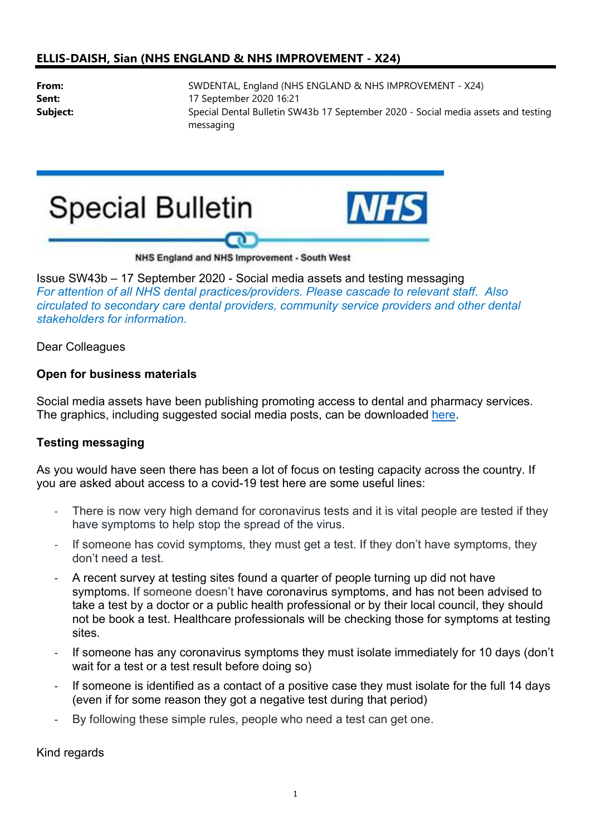## ELLIS-DAISH, Sian (NHS ENGLAND & NHS IMPROVEMENT - X24)

From: SWDENTAL, England (NHS ENGLAND & NHS IMPROVEMENT - X24) **Sent:** 17 September 2020 16:21 Subject: Special Dental Bulletin SW43b 17 September 2020 - Social media assets and testing messaging





## NHS England and NHS Improvement - South West

Issue SW43b – 17 September 2020 - Social media assets and testing messaging For attention of all NHS dental practices/providers. Please cascade to relevant staff. Also circulated to secondary care dental providers, community service providers and other dental stakeholders for information.

Dear Colleagues

## Open for business materials

Social media assets have been publishing promoting access to dental and pharmacy services. The graphics, including suggested social media posts, can be downloaded here.

## Testing messaging

As you would have seen there has been a lot of focus on testing capacity across the country. If you are asked about access to a covid-19 test here are some useful lines:

- There is now very high demand for coronavirus tests and it is vital people are tested if they have symptoms to help stop the spread of the virus.
- If someone has covid symptoms, they must get a test. If they don't have symptoms, they don't need a test.
- A recent survey at testing sites found a quarter of people turning up did not have symptoms. If someone doesn't have coronavirus symptoms, and has not been advised to take a test by a doctor or a public health professional or by their local council, they should not be book a test. Healthcare professionals will be checking those for symptoms at testing sites.
- If someone has any coronavirus symptoms they must isolate immediately for 10 days (don't wait for a test or a test result before doing so)
- If someone is identified as a contact of a positive case they must isolate for the full 14 days (even if for some reason they got a negative test during that period)
- By following these simple rules, people who need a test can get one.

Kind regards